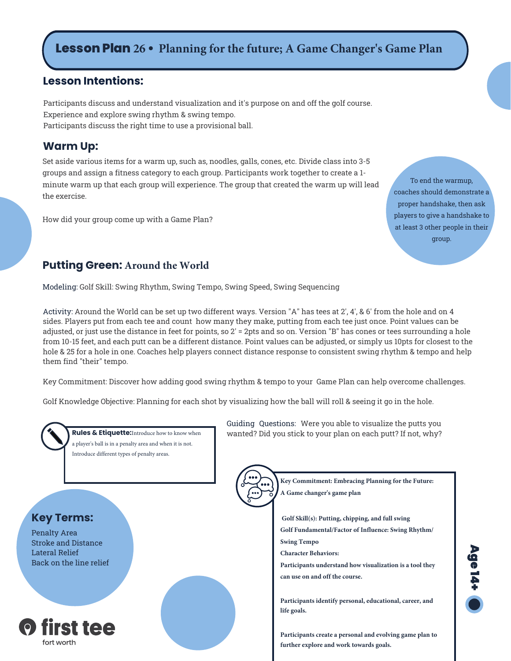# **Lesson Plan 26 • Planning for the future; A Game Changer's Game Plan**

# **Lesson Intentions:**

Participants discuss and understand visualization and it's purpose on and off the golf course. Experience and explore swing rhythm & swing tempo. Participants discuss the right time to use a provisional ball.

#### **Warm Up:**

Set aside various items for a warm up, such as, noodles, galls, cones, etc. Divide class into 3-5 groups and assign a fitness category to each group. Participants work together to create a 1 minute warm up that each group will experience. The group that created the warm up will lead the exercise.

How did your group come up with a Game Plan?

To end the warmup, coaches should demonstrate a proper handshake, then ask players to give a handshake to at least 3 other people in their group.

# **Putting Green: Around the World**

Modeling: Golf Skill: Swing Rhythm, Swing Tempo, Swing Speed, Swing Sequencing

Activity: Around the World can be set up two different ways. Version "A" has tees at 2', 4', & 6' from the hole and on 4 sides. Players put from each tee and count how many they make, putting from each tee just once. Point values can be adjusted, or just use the distance in feet for points, so 2' = 2pts and so on. Version "B" has cones or tees surrounding a hole from 10-15 feet, and each putt can be a different distance. Point values can be adjusted, or simply us 10pts for closest to the hole & 25 for a hole in one. Coaches help players connect distance response to consistent swing rhythm & tempo and help them find "their" tempo.

Key Commitment: Discover how adding good swing rhythm & tempo to your Game Plan can help overcome challenges.

Golf Knowledge Objective: Planning for each shot by visualizing how the ball will roll & seeing it go in the hole.